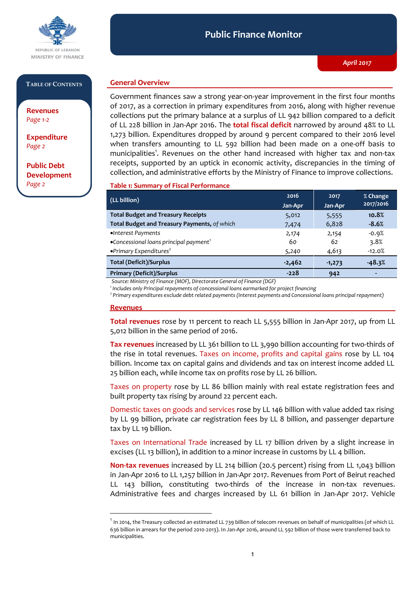

#### **TABLE OF CONTENTS**

**Revenues**  *Page 1-2*

**Expenditure**  *Page 2*

**Public Debt Development** *Page 2*

## **General Overview**

Government finances saw a strong year-on-year improvement in the first four months of 2017, as a correction in primary expenditures from 2016, along with higher revenue collections put the primary balance at a surplus of LL 942 billion compared to a deficit of LL 228 billion in Jan-Apr 2016. The **total fiscal deficit** narrowed by around 48% to LL 1,273 billion. Expenditures dropped by around 9 percent compared to their 2016 level when transfers amounting to LL 592 billion had been made on a one-off basis to municipalities<sup>1</sup>. Revenues on the other hand increased with higher tax and non-tax receipts, supported by an uptick in economic activity, discrepancies in the timing of collection, and administrative efforts by the Ministry of Finance to improve collections.

#### **Table 1: Summary of Fiscal Performance**

| (LL billion)                                       | 2016<br>Jan-Apr | 2017<br>Jan-Apr | % Change<br>2017/2016 |
|----------------------------------------------------|-----------------|-----------------|-----------------------|
| <b>Total Budget and Treasury Receipts</b>          | 5,012           | 5,555           | 10.8%                 |
| Total Budget and Treasury Payments, of which       | 7,474           | 6,828           | $-8.6%$               |
| •Interest Payments                                 | 2,174           | 2,154           | $-0.9%$               |
| •Concessional loans principal payment <sup>1</sup> | 60              | 62              | 3.8%                  |
| $\bullet$ Primary Expenditures <sup>2</sup>        | 5,240           | 4,613           | $-12.0%$              |
| <b>Total (Deficit)/Surplus</b>                     | $-2,462$        | $-1,273$        | $-48.3%$              |
| <b>Primary (Deficit)/Surplus</b>                   | $-228$          | 942             |                       |

*Source: Ministry of Finance (MOF), Directorate General of Finance (DGF)*

*1 Includes only Principal repayments of concessional loans earmarked for project financing*

*2 Primary expenditures exclude debt related payments (Interest payments and Concessional loans principal repayment)*

#### **Revenues**

 $\overline{a}$ 

**Total revenues** rose by 11 percent to reach LL 5,555 billion in Jan-Apr 2017, up from LL 5,012 billion in the same period of 2016.

**Tax revenues** increased by LL 361 billion to LL 3,990 billion accounting for two-thirds of the rise in total revenues. Taxes on income, profits and capital gains rose by LL 104 billion. Income tax on capital gains and dividends and tax on interest income added LL 25 billion each, while income tax on profits rose by LL 26 billion.

Taxes on property rose by LL 86 billion mainly with real estate registration fees and built property tax rising by around 22 percent each.

Domestic taxes on goods and services rose by LL 146 billion with value added tax rising by LL 99 billion, private car registration fees by LL 8 billion, and passenger departure tax by LL 19 billion.

Taxes on International Trade increased by LL 17 billion driven by a slight increase in excises (LL 13 billion), in addition to a minor increase in customs by LL 4 billion.

**Non-tax revenues** increased by LL 214 billion (20.5 percent) rising from LL 1,043 billion in Jan-Apr 2016 to LL 1,257 billion in Jan-Apr 2017. Revenues from Port of Beirut reached LL 143 billion, constituting two-thirds of the increase in non-tax revenues. Administrative fees and charges increased by LL 61 billion in Jan-Apr 2017. Vehicle

 $^{\rm 1}$  In 2014, the Treasury collected an estimated LL 739 billion of telecom revenues on behalf of municipalities (of which LL 636 billion in arrears for the period 2010-2013). In Jan-Apr 2016, around LL 592 billion of those were transferred back to municipalities.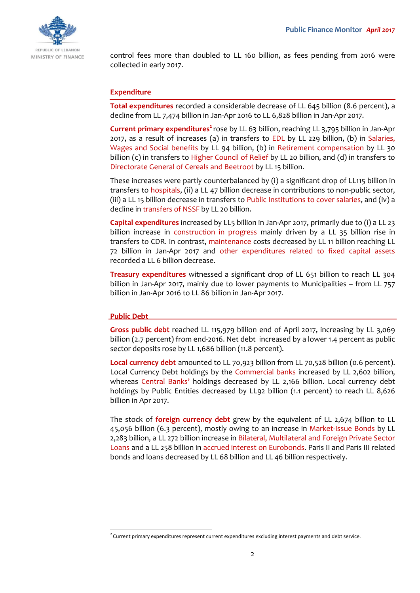

control fees more than doubled to LL 160 billion, as fees pending from 2016 were collected in early 2017.

## **Expenditure**

**Total expenditures** recorded a considerable decrease of LL 645 billion (8.6 percent), a decline from LL 7,474 billion in Jan-Apr 2016 to LL 6,828 billion in Jan-Apr 2017.

**Current primary expenditures<sup>2</sup> rose by LL 63 billion, reaching LL 3,795 billion in Jan-Apr** 2017, as a result of increases (a) in transfers to EDL by LL 229 billion, (b) in Salaries, Wages and Social benefits by LL 94 billion, (b) in Retirement compensation by LL 30 billion (c) in transfers to Higher Council of Relief by LL 20 billion, and (d) in transfers to Directorate General of Cereals and Beetroot by LL 15 billion.

These increases were partly counterbalanced by (i) a significant drop of LL115 billion in transfers to hospitals, (ii) a LL 47 billion decrease in contributions to non-public sector, (iii) a LL 15 billion decrease in transfers to Public Institutions to cover salaries, and (iv) a decline in transfers of NSSF by LL 20 billion.

**Capital expenditures** increased by LL5 billion in Jan-Apr 2017, primarily due to (i) a LL 23 billion increase in construction in progress mainly driven by a LL 35 billion rise in transfers to CDR. In contrast, maintenance costs decreased by LL 11 billion reaching LL 72 billion in Jan-Apr 2017 and other expenditures related to fixed capital assets recorded a LL 6 billion decrease.

**Treasury expenditures** witnessed a significant drop of LL 651 billion to reach LL 304 billion in Jan-Apr 2017, mainly due to lower payments to Municipalities – from LL 757 billion in Jan-Apr 2016 to LL 86 billion in Jan-Apr 2017.

## **Public Debt**

 $\overline{a}$ 

**Gross public debt** reached LL 115,979 billion end of April 2017, increasing by LL 3,069 billion (2.7 percent) from end-2016. Net debt increased by a lower 1.4 percent as public sector deposits rose by LL 1,686 billion (11.8 percent).

**Local currency debt** amounted to LL 70,923 billion from LL 70,528 billion (0.6 percent). Local Currency Debt holdings by the Commercial banks increased by LL 2,602 billion, whereas Central Banks' holdings decreased by LL 2,166 billion. Local currency debt holdings by Public Entities decreased by LL92 billion (1.1 percent) to reach LL 8,626 billion in Apr 2017.

The stock of **foreign currency debt** grew by the equivalent of LL 2,674 billion to LL 45,056 billion (6.3 percent), mostly owing to an increase in Market-Issue Bonds by LL 2,283 billion, a LL 272 billion increase in Bilateral, Multilateral and Foreign Private Sector Loans and a LL 258 billion in accrued interest on Eurobonds. Paris II and Paris III related bonds and loans decreased by LL 68 billion and LL 46 billion respectively.

<sup>&</sup>lt;sup>2</sup> Current primary expenditures represent current expenditures excluding interest payments and debt service.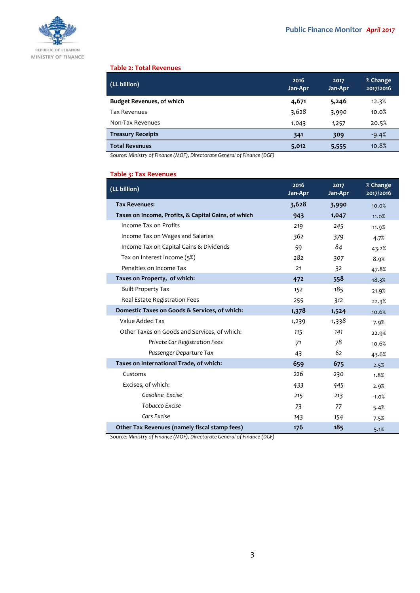

#### **Table 2: Total Revenues**

| (LL billion)                     | 2016<br>Jan-Apr | 2017<br>Jan-Apr | % Change<br>2017/2016 |
|----------------------------------|-----------------|-----------------|-----------------------|
| <b>Budget Revenues, of which</b> | 4,671           | 5,246           | 12.3%                 |
| <b>Tax Revenues</b>              | 3,628           | 3,990           | 10.0%                 |
| Non-Tax Revenues                 | 1,043           | 1,257           | 20.5%                 |
| <b>Treasury Receipts</b>         | 341             | 309             | $-9.4%$               |
| <b>Total Revenues</b>            | 5,012           | 5,555           | 10.8%                 |

*Source: Ministry of Finance (MOF), Directorate General of Finance (DGF)*

## **Table 3: Tax Revenues**

| (LL billion)                                        | 2016<br>Jan-Apr | 2017<br>Jan-Apr | % Change<br>2017/2016 |
|-----------------------------------------------------|-----------------|-----------------|-----------------------|
| <b>Tax Revenues:</b>                                | 3,628           | 3,990           | 10.0%                 |
| Taxes on Income, Profits, & Capital Gains, of which | 943             | 1,047           | 11.0%                 |
| Income Tax on Profits                               | 219             | 245             | 11.9%                 |
| Income Tax on Wages and Salaries                    | 362             | 379             | 4.7%                  |
| Income Tax on Capital Gains & Dividends             | 59              | 84              | 43.2%                 |
| Tax on Interest Income (5%)                         | 282             | 307             | 8.9%                  |
| Penalties on Income Tax                             | 21              | 32              | 47.8%                 |
| Taxes on Property, of which:                        | 472             | 558             | 18.3%                 |
| <b>Built Property Tax</b>                           | 152             | 185             | 21.9%                 |
| Real Estate Registration Fees                       | 255             | 312             | 22.3%                 |
| Domestic Taxes on Goods & Services, of which:       | 1,378           | 1,524           | 10.6%                 |
| Value Added Tax                                     | 1,239           | 1,338           | 7.9%                  |
| Other Taxes on Goods and Services, of which:        | 115             | 141             | 22.9%                 |
| Private Car Registration Fees                       | 71              | 78              | 10.6%                 |
| Passenger Departure Tax                             | 43              | 62              | 43.6%                 |
| Taxes on International Trade, of which:             | 659             | 675             | 2.5%                  |
| Customs                                             | 226             | 230             | 1.8%                  |
| Excises, of which:                                  | 433             | 445             | 2.9%                  |
| Gasoline Excise                                     | 215             | 213             | $-1.0%$               |
| Tobacco Excise                                      | 73              | 77              | 5.4%                  |
| Cars Excise                                         | 143             | 154             | 7.5%                  |
| Other Tax Revenues (namely fiscal stamp fees)       | 176             | 185             | 5.1%                  |

*Source: Ministry of Finance (MOF), Directorate General of Finance (DGF)*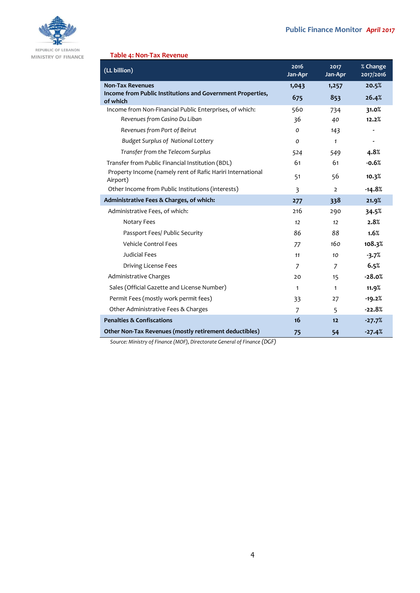

## **Table 4: Non-Tax Revenue**

| <b>Non-Tax Revenues</b>                                                | 1,043         | 1,257          |                |
|------------------------------------------------------------------------|---------------|----------------|----------------|
|                                                                        |               |                | 20.5%          |
| Income from Public Institutions and Government Properties,<br>of which | 675           | 853            | 26.4%          |
| Income from Non-Financial Public Enterprises, of which:                | 560           | 734            | 31.0%          |
| Revenues from Casino Du Liban                                          | 36            | 40             | 12.2%          |
| Revenues from Port of Beirut                                           | 0             | 143            | $\blacksquare$ |
| <b>Budget Surplus of National Lottery</b>                              | $\mathcal{O}$ | $\mathbf{1}$   | $\blacksquare$ |
| Transfer from the Telecom Surplus                                      | 524           | 549            | 4.8%           |
| Transfer from Public Financial Institution (BDL)                       | 61            | 61             | $-0.6%$        |
| Property Income (namely rent of Rafic Hariri International<br>Airport) | 51            | 56             | 10.3%          |
| Other Income from Public Institutions (interests)                      | 3             | $\overline{2}$ | $-14.8%$       |
| Administrative Fees & Charges, of which:                               | 277           | 338            | 21.9%          |
| Administrative Fees, of which:                                         | 216           | 290            | 34.5%          |
| Notary Fees                                                            | 12            | 12             | 2.8%           |
| Passport Fees/ Public Security                                         | 86            | 88             | 1.6%           |
| <b>Vehicle Control Fees</b>                                            | 77            | 160            | 108.3%         |
| <b>Judicial Fees</b>                                                   | 11            | 10             | $-3.7%$        |
| Driving License Fees                                                   | 7             | 7              | 6.5%           |
| Administrative Charges                                                 | 20            | 15             | $-28.0%$       |
| Sales (Official Gazette and License Number)                            | $\mathbf{1}$  | $\mathbf{1}$   | 11.9%          |
| Permit Fees (mostly work permit fees)                                  | 33            | 27             | $-19.2%$       |
| Other Administrative Fees & Charges                                    | 7             | 5              | $-22.8%$       |
| <b>Penalties &amp; Confiscations</b>                                   | 16            | 12             | $-27.7%$       |
| Other Non-Tax Revenues (mostly retirement deductibles)                 | 75            | 54             | $-27.4%$       |

*Source: Ministry of Finance (MOF), Directorate General of Finance (DGF)*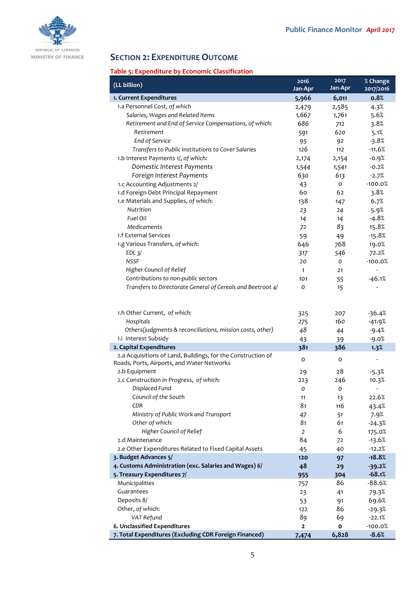

# **SECTION 2: EXPENDITURE OUTCOME**

# **Table 5: Expenditure by Economic Classification**

| (LL billion)                                                 | 2016           | 2017           | % Change                 |
|--------------------------------------------------------------|----------------|----------------|--------------------------|
|                                                              | Jan-Apr        | Jan-Apr        | 2017/2016                |
| 1. Current Expenditures<br>1.a Personnel Cost, of which      | 5,966          | 6,011<br>2,585 | 0.8%<br>4.3%             |
| Salaries, Wages and Related Items                            | 2,479<br>1,667 | 1,761          | 5.6%                     |
| Retirement and End of Service Compensations, of which:       | 686            | 712            | 3.8%                     |
| Retirement                                                   | 591            | 620            | 5.1%                     |
| End of Service                                               | 95             | 92             | $-3.8%$                  |
| Transfers to Public Institutions to Cover Salaries           | 126            | 112            | $-11.6%$                 |
| 1.b Interest Payments 1/, of which:                          | 2,174          | 2,154          | $-0.9%$                  |
| Domestic Interest Payments                                   | 1,544          | 1,541          | $-0.2%$                  |
| Foreign Interest Payments                                    | 630            | 613            | $-2.7%$                  |
| 1.c Accounting Adjustments 2/                                | 43             | 0              | $-100.0%$                |
| 1.d Foreign Debt Principal Repayment                         | 60             | 62             | 3.8%                     |
| 1.e Materials and Supplies, of which:                        | 138            | 147            | 6.7%                     |
| Nutrition                                                    | 23             | 24             | 5.9%                     |
| Fuel Oil                                                     | 14             | 14             | $-4.8%$                  |
| Medicaments                                                  | 72             | 83             | 15.8%                    |
| 1.f External Services                                        | 59             | 49             | $-15.8%$                 |
| 1.g Various Transfers, of which:                             | 646            | 768            | 19.0%                    |
| $EDL$ $3/$                                                   | 317            | 546            | 72.2%                    |
| <b>NSSF</b>                                                  | 20             | 0              | $-100.0%$                |
| Higher Council of Relief                                     | $\mathbf{1}$   | 21             | $\frac{1}{2}$            |
| Contributions to non-public sectors                          | 101            | 55             | $-46.1%$                 |
| Transfers to Directorate General of Cereals and Beetroot 4/  | O              | 15             |                          |
|                                                              |                |                |                          |
| 1.h Other Current, of which:                                 | 325            | 207            | $-36.4%$                 |
| Hospitals                                                    | 275            | 160            | $-41.9%$                 |
| Others(judgments & reconciliations, mission costs, other)    | 48             | 44             | $-9.4%$                  |
| 1.i Interest Subsidy                                         | 43             | 39             | $-9.0%$                  |
| 2. Capital Expenditures                                      | 381            | 386            | 1.3%                     |
| 2.a Acquisitions of Land, Buildings, for the Construction of |                |                |                          |
| Roads, Ports, Airports, and Water Networks                   | $\mathbf{o}$   | o              |                          |
| 2.b Equipment                                                | 29             | 28             | $-5.3%$                  |
| 2.c Construction in Progress, of which:                      | 223            | 246            | 10.3%                    |
| Displaced Fund                                               | O              | 0              | $\overline{\phantom{0}}$ |
| Council of the South                                         | 11             | 13             | 22.6%                    |
| <b>CDR</b>                                                   | 81             | 116            | 43.4%                    |
| Ministry of Public Work and Transport                        | 47             | 51             | 7.9%                     |
| Other of which:                                              | 81             | 61             | $-24.3%$                 |
| Higher Council of Relief                                     | $\overline{2}$ | 6              | 175.0%                   |
| 2.d Maintenance                                              | 84             | 72             | $-13.6%$                 |
| 2.e Other Expenditures Related to Fixed Capital Assets       | 45             | 40             | $-12.2%$                 |
| 3. Budget Advances 5/                                        | 120            | 97             | $-18.8%$                 |
| 4. Customs Administration (exc. Salaries and Wages) 6/       | 48             | 29             | $-39.2%$                 |
| 5. Treasury Expenditures 7/                                  | 955            | 304            | $-68.1%$                 |
| Municipalities<br>Guarantees                                 | 757            | 86             | $-88.6%$                 |
| Deposits 8/                                                  | 23             | 41             | 79.3%                    |
| Other, of which:                                             | 53<br>122      | 91<br>86       | 69.6%                    |
| VAT Refund                                                   | 89             | 69             | $-29.3%$<br>$-22.1%$     |
| 6. Unclassified Expenditures                                 | $\overline{2}$ | O              | $-100.0%$                |
| 7. Total Expenditures (Excluding CDR Foreign Financed)       | 7,474          | 6,828          | $-8.6%$                  |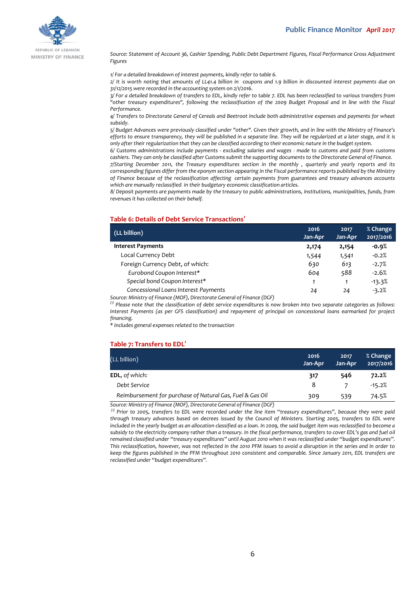

REPUBLIC OF LEBANON MINISTRY OF FINANCE

*Source: Statement of Account 36, Cashier Spending, Public Debt Department Figures, Fiscal Performance Gross Adjustment Figures*

*1/ For a detailed breakdown of interest payments, kindly refer to table 6.*

*2/ It is worth noting that amounts of LL41.4 billion in coupons and 1.9 billion in discounted interest payments due on 31/12/2015 were recorded in the accounting system on 2/1/2016.*

*3/ For a detailed breakdown of transfers to EDL, kindly refer to table 7. EDL has been reclassified to various transfers from "other treasury expenditures", following the reclassification of the 2009 Budget Proposal and in line with the Fiscal Performance.*

*4/ Transfers to Directorate General of Cereals and Beetroot include both administrative expenses and payments for wheat subsidy.*

*5/ Budget Advances were previously classified under "other". Given their growth, and in line with the Ministry of Finance's efforts to ensure transparency, they will be published in a separate line. They will be regularized at a later stage, and it is only after their regularization that they can be classified according to their economic nature in the budget system.*

*6/ Customs administrations include payments - excluding salaries and wages - made to customs and paid from customs cashiers. They can only be classified after Customs submit the supporting documents to the Directorate General of Finance.*

*7/Starting December 2011, the Treasury expenditures section in the monthly , quarterly and yearly reports and its corresponding figures differ from the eponym section appearing in the Fiscal performance reports published by the Ministry of Finance because of the reclassification affecting certain payments from guarantees and treasury advances accounts which are manually reclassified in their budgetary economic classification articles.*

*8/ Deposit payments are payments made by the treasury to public administrations, institutions, municipalities, funds, from revenues it has collected on their behalf.*

#### **Table 6: Details of Debt Service Transactions<sup>1</sup>**

| (LL billion)                         | 2016<br>Jan-Apr | 2017<br>Jan-Apr | % Change<br>2017/2016 |
|--------------------------------------|-----------------|-----------------|-----------------------|
| <b>Interest Payments</b>             | 2,174           | 2,154           | $-0.9%$               |
| Local Currency Debt                  | 1,544           | 1,541           | $-0.2%$               |
| Foreign Currency Debt, of which:     | 630             | 613             | $-2.7%$               |
| Eurobond Coupon Interest*            | 604             | 588             | $-2.6%$               |
| Special bond Coupon Interest*        |                 |                 | $-13.3%$              |
| Concessional Loans Interest Payments | 24              | 24              | $-3.2%$               |

*Source: Ministry of Finance (MOF), Directorate General of Finance (DGF)*

*(1) Please note that the classification of debt service expenditures is now broken into two separate categories as follows: Interest Payments (as per GFS classification) and repayment of principal on concessional loans earmarked for project financing.*

*\* Includes general expenses related to the transaction*

#### **Table 7: Transfers to EDL<sup>1</sup>**

| (LL billion)                                              | 2016<br>Jan-Apr | 2017<br>Jan-Apr | % Change<br>2017/2016 |
|-----------------------------------------------------------|-----------------|-----------------|-----------------------|
| <b>EDL, of which:</b>                                     | 317             | 546             | 72.2%                 |
| Debt Service                                              | 8               |                 | $-15.2%$              |
| Reimbursement for purchase of Natural Gas, Fuel & Gas Oil | 309             | 539             | 74.5%                 |
| $\sim$ $\sim$<br>.                                        |                 |                 |                       |

*Source: Ministry of Finance (MOF), Directorate General of Finance (DGF)*

*(1) Prior to 2005, transfers to EDL were recorded under the line item "treasury expenditures", because they were paid through treasury advances based on decrees issued by the Council of Ministers. Starting 2005, transfers to EDL were included in the yearly budget as an allocation classified as a loan. In 2009, the said budget item was reclassified to become a subsidy to the electricity company rather than a treasury. In the fiscal performance, transfers to cover EDL's gas and fuel oil remained classified under "treasury expenditures" until August 2010 when it was reclassified under "budget expenditures". This reclassification, however, was not reflected in the 2010 PFM issues to avoid a disruption in the series and in order to keep the figures published in the PFM throughout 2010 consistent and comparable. Since January 2011, EDL transfers are reclassified under "budget expenditures".*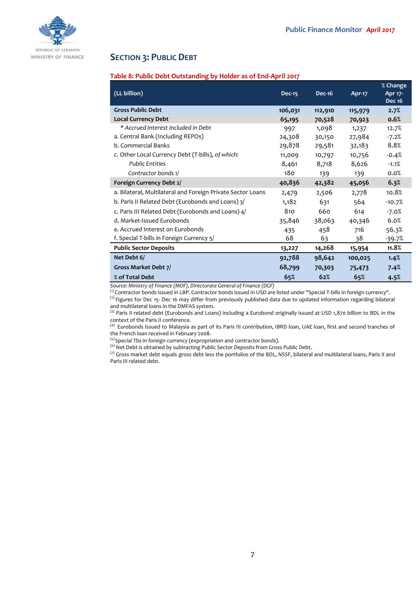

## **SECTION 3: PUBLIC DEBT**

### **Table 8: Public Debt Outstanding by Holder as of End-April 2017**

| (LL billion)                                                | <b>Dec-15</b> | <b>Dec-16</b> | Apr-17  | % Change<br>Apr 17-<br><b>Dec 16</b> |
|-------------------------------------------------------------|---------------|---------------|---------|--------------------------------------|
| <b>Gross Public Debt</b>                                    | 106,031       | 112,910       | 115,979 | 2.7%                                 |
| <b>Local Currency Debt</b>                                  | 65,195        | 70,528        | 70,923  | 0.6%                                 |
| * Accrued Interest Included in Debt                         | 997           | 1,098         | 1,237   | 12.7%                                |
| a. Central Bank (Including REPOs)                           | 24,308        | 30,150        | 27,984  | $-7.2%$                              |
| b. Commercial Banks                                         | 29,878        | 29,581        | 32,183  | 8.8%                                 |
| c. Other Local Currency Debt (T-bills), of which:           | 11,009        | 10,797        | 10,756  | $-0.4%$                              |
| <b>Public Entities</b>                                      | 8,461         | 8,718         | 8,626   | $-1.1%$                              |
| Contractor bonds 1/                                         | 180           | 139           | 139     | 0.0%                                 |
| Foreign Currency Debt 2/                                    | 40,836        | 42,382        | 45,056  | 6.3%                                 |
| a. Bilateral, Multilateral and Foreign Private Sector Loans | 2,479         | 2,506         | 2,778   | 10.8%                                |
| b. Paris II Related Debt (Eurobonds and Loans) 3/           | 1,182         | 631           | 564     | $-10.7%$                             |
| c. Paris III Related Debt (Eurobonds and Loans) 4/          | 810           | 660           | 614     | $-7.0%$                              |
| d. Market-Issued Eurobonds                                  | 35,846        | 38,063        | 40,346  | 6.0%                                 |
| e. Accrued Interest on Eurobonds                            | 435           | 458           | 716     | 56.3%                                |
| f. Special T-bills in Foreign Currency 5/                   | 68            | 63            | 38      | $-39.7%$                             |
| <b>Public Sector Deposits</b>                               | 13,227        | 14,268        | 15,954  | 11.8%                                |
| Net Debt 6/                                                 | 92,788        | 98,642        | 100,025 | 1.4%                                 |
| Gross Market Debt 7/                                        | 68,799        | 70,303        | 75,473  | 7.4%                                 |
| % of Total Debt                                             | 65%           | 62%           | 65%     | 4.5%                                 |

*Source: Ministry of Finance (MOF), Directorate General of Finance (DGF)*

(1) Contractor bonds issued in LBP. Contractor bonds issued in USD are listed under "Special T-bills in foreign currency".  $^{(2)}$  Figures for Dec 15- Dec 16 may differ from previously published data due to updated information regarding bilateral and multilateral loans in the DMFAS system.

 $<sup>(3)</sup>$  Paris II related debt (Eurobonds and Loans) including a Eurobond originally issued at USD 1,870 billion to BDL in the</sup> context of the Paris II conference.

(4) Eurobonds Issued to Malaysia as part of its Paris III contribution, IBRD loan, UAE loan, first and second tranches of the French loan received in February 2008.

<sup>(5)</sup> Special Tbs in foreign currency (expropriation and contractor bonds).

(6) Net Debt is obtained by subtracting Public Sector Deposits from Gross Public Debt.

(7) Gross market debt equals gross debt less the portfolios of the BDL, NSSF, bilateral and multilateral loans, Paris II and Paris III related debt.